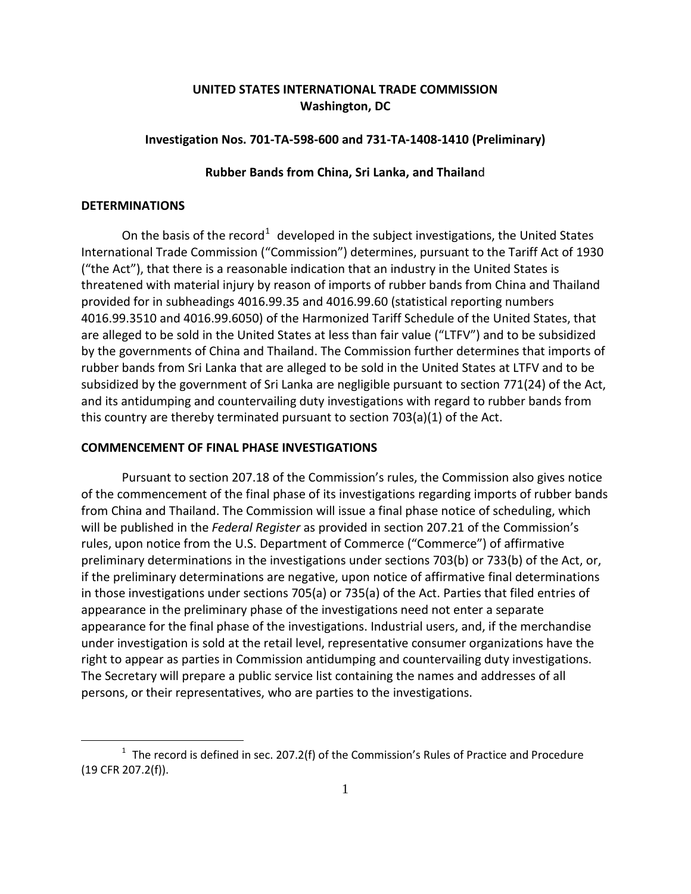# **UNITED STATES INTERNATIONAL TRADE COMMISSION Washington, DC**

# **Investigation Nos. 701-TA-598-600 and 731-TA-1408-1410 (Preliminary)**

## **Rubber Bands from China, Sri Lanka, and Thailan**d

#### **DETERMINATIONS**

 $\overline{a}$ 

On the basis of the record<sup>[1](#page-0-0)</sup> developed in the subject investigations, the United States International Trade Commission ("Commission") determines, pursuant to the Tariff Act of 1930 ("the Act"), that there is a reasonable indication that an industry in the United States is threatened with material injury by reason of imports of rubber bands from China and Thailand provided for in subheadings 4016.99.35 and 4016.99.60 (statistical reporting numbers 4016.99.3510 and 4016.99.6050) of the Harmonized Tariff Schedule of the United States, that are alleged to be sold in the United States at less than fair value ("LTFV") and to be subsidized by the governments of China and Thailand. The Commission further determines that imports of rubber bands from Sri Lanka that are alleged to be sold in the United States at LTFV and to be subsidized by the government of Sri Lanka are negligible pursuant to section 771(24) of the Act, and its antidumping and countervailing duty investigations with regard to rubber bands from this country are thereby terminated pursuant to section 703(a)(1) of the Act.

# **COMMENCEMENT OF FINAL PHASE INVESTIGATIONS**

Pursuant to section 207.18 of the Commission's rules, the Commission also gives notice of the commencement of the final phase of its investigations regarding imports of rubber bands from China and Thailand. The Commission will issue a final phase notice of scheduling, which will be published in the *Federal Register* as provided in section 207.21 of the Commission's rules, upon notice from the U.S. Department of Commerce ("Commerce") of affirmative preliminary determinations in the investigations under sections 703(b) or 733(b) of the Act, or, if the preliminary determinations are negative, upon notice of affirmative final determinations in those investigations under sections 705(a) or 735(a) of the Act. Parties that filed entries of appearance in the preliminary phase of the investigations need not enter a separate appearance for the final phase of the investigations. Industrial users, and, if the merchandise under investigation is sold at the retail level, representative consumer organizations have the right to appear as parties in Commission antidumping and countervailing duty investigations. The Secretary will prepare a public service list containing the names and addresses of all persons, or their representatives, who are parties to the investigations.

<span id="page-0-0"></span> $1$  The record is defined in sec. 207.2(f) of the Commission's Rules of Practice and Procedure (19 CFR 207.2(f)).